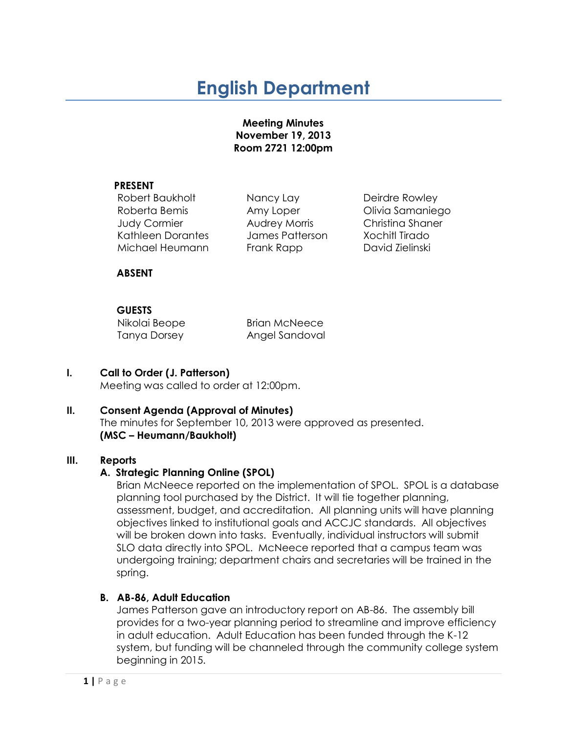# **English Department**

#### **Meeting Minutes November 19, 2013 Room 2721 12:00pm**

#### **PRESENT**

Robert Baukholt Mancy Lay Deirdre Rowley Roberta Bemis **Amy Loper Contract Contract Contract Amy Loper** Colivia Samaniego Judy Cormier Audrey Morris Christina Shaner Kathleen Dorantes James Patterson Xochitl Tirado Michael Heumann Frank Rapp David Zielinski

#### **ABSENT**

## **GUESTS**

Nikolai Beope Brian McNeece Tanya Dorsey Angel Sandoval

## **I. Call to Order (J. Patterson)**

Meeting was called to order at 12:00pm.

## **II. Consent Agenda (Approval of Minutes)**

The minutes for September 10, 2013 were approved as presented. **(MSC – Heumann/Baukholt)**

#### **III. Reports**

#### **A. Strategic Planning Online (SPOL)**

Brian McNeece reported on the implementation of SPOL. SPOL is a database planning tool purchased by the District. It will tie together planning, assessment, budget, and accreditation. All planning units will have planning objectives linked to institutional goals and ACCJC standards. All objectives will be broken down into tasks. Eventually, individual instructors will submit SLO data directly into SPOL. McNeece reported that a campus team was undergoing training; department chairs and secretaries will be trained in the spring.

#### **B. AB-86, Adult Education**

James Patterson gave an introductory report on AB-86. The assembly bill provides for a two-year planning period to streamline and improve efficiency in adult education. Adult Education has been funded through the K-12 system, but funding will be channeled through the community college system beginning in 2015.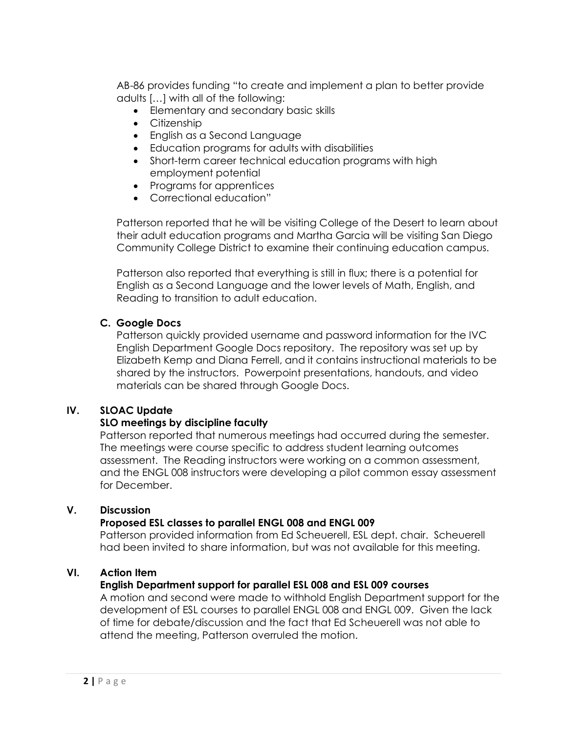AB-86 provides funding "to create and implement a plan to better provide adults […] with all of the following:

- Elementary and secondary basic skills
- Citizenship
- English as a Second Language
- Education programs for adults with disabilities
- Short-term career technical education programs with high employment potential
- Programs for apprentices
- Correctional education"

Patterson reported that he will be visiting College of the Desert to learn about their adult education programs and Martha Garcia will be visiting San Diego Community College District to examine their continuing education campus.

Patterson also reported that everything is still in flux; there is a potential for English as a Second Language and the lower levels of Math, English, and Reading to transition to adult education.

## **C. Google Docs**

Patterson quickly provided username and password information for the IVC English Department Google Docs repository. The repository was set up by Elizabeth Kemp and Diana Ferrell, and it contains instructional materials to be shared by the instructors. Powerpoint presentations, handouts, and video materials can be shared through Google Docs.

#### **IV. SLOAC Update**

## **SLO meetings by discipline faculty**

Patterson reported that numerous meetings had occurred during the semester. The meetings were course specific to address student learning outcomes assessment. The Reading instructors were working on a common assessment, and the ENGL 008 instructors were developing a pilot common essay assessment for December.

#### **V. Discussion**

#### **Proposed ESL classes to parallel ENGL 008 and ENGL 009**

Patterson provided information from Ed Scheuerell, ESL dept. chair. Scheuerell had been invited to share information, but was not available for this meeting.

#### **VI. Action Item**

#### **English Department support for parallel ESL 008 and ESL 009 courses**

A motion and second were made to withhold English Department support for the development of ESL courses to parallel ENGL 008 and ENGL 009. Given the lack of time for debate/discussion and the fact that Ed Scheuerell was not able to attend the meeting, Patterson overruled the motion.